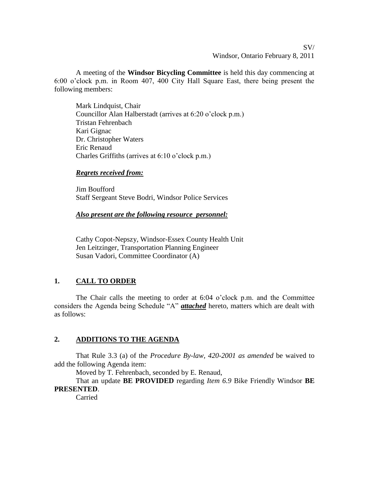# SV/ Windsor, Ontario February 8, 2011

A meeting of the **Windsor Bicycling Committee** is held this day commencing at 6:00 o'clock p.m. in Room 407, 400 City Hall Square East, there being present the following members:

Mark Lindquist, Chair Councillor Alan Halberstadt (arrives at 6:20 o'clock p.m.) Tristan Fehrenbach Kari Gignac Dr. Christopher Waters Eric Renaud Charles Griffiths (arrives at 6:10 o'clock p.m.)

### *Regrets received from:*

Jim Boufford Staff Sergeant Steve Bodri, Windsor Police Services

#### *Also present are the following resource personnel:*

Cathy Copot-Nepszy, Windsor-Essex County Health Unit Jen Leitzinger, Transportation Planning Engineer Susan Vadori, Committee Coordinator (A)

## **1. CALL TO ORDER**

The Chair calls the meeting to order at 6:04 o'clock p.m. and the Committee considers the Agenda being Schedule "A" *attached* hereto, matters which are dealt with as follows:

### **2. ADDITIONS TO THE AGENDA**

That Rule 3.3 (a) of the *Procedure By-law, 420-2001 as amended* be waived to add the following Agenda item:

Moved by T. Fehrenbach, seconded by E. Renaud,

That an update **BE PROVIDED** regarding *Item 6.9* Bike Friendly Windsor **BE PRESENTED**.

Carried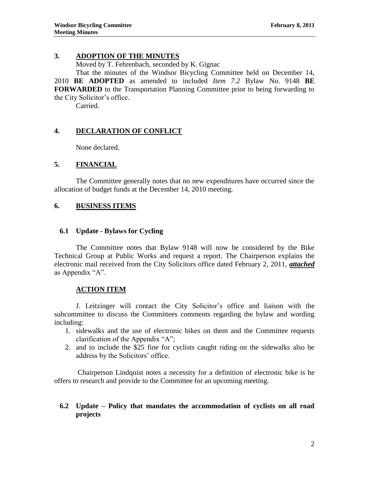### **3. ADOPTION OF THE MINUTES**

Moved by T. Fehrenbach, seconded by K. Gignac

That the minutes of the Windsor Bicycling Committee held on December 14, 2010 **BE ADOPTED** as amended to included *Item 7.2* Bylaw No. 9148 **BE FORWARDED** to the Transportation Planning Committee prior to being forwarding to the City Solicitor's office.

Carried.

## **4. DECLARATION OF CONFLICT**

None declared.

### **5. FINANCIAL**

The Committee generally notes that no new expenditures have occurred since the allocation of budget funds at the December 14, 2010 meeting.

### **6. BUSINESS ITEMS**

## **6.1 Update - Bylaws for Cycling**

The Committee notes that Bylaw 9148 will now be considered by the Bike Technical Group at Public Works and request a report. The Chairperson explains the electronic mail received from the City Solicitors office dated February 2, 2011, *attached* as Appendix "A".

### **ACTION ITEM**

J. Leitzinger will contact the City Solicitor's office and liaison with the subcommittee to discuss the Committees comments regarding the bylaw and wording including:

- 1. sidewalks and the use of electronic bikes on them and the Committee requests clarification of the Appendix "A";
- 2. and to include the \$25 fine for cyclists caught riding on the sidewalks also be address by the Solicitors' office.

Chairperson Lindquist notes a necessity for a definition of electronic bike is he offers to research and provide to the Committee for an upcoming meeting.

## **6.2 Update – Policy that mandates the accommodation of cyclists on all road projects**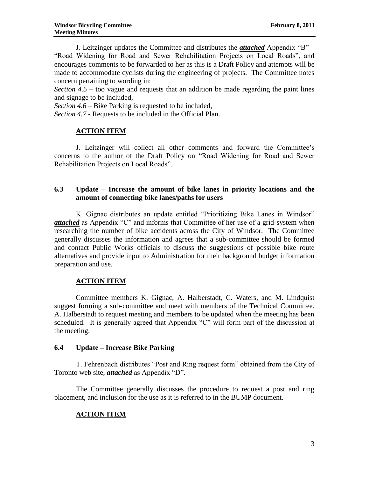J. Leitzinger updates the Committee and distributes the *attached* Appendix "B" – "Road Widening for Road and Sewer Rehabilitation Projects on Local Roads", and encourages comments to be forwarded to her as this is a Draft Policy and attempts will be made to accommodate cyclists during the engineering of projects. The Committee notes concern pertaining to wording in:

*Section 4.5* – too vague and requests that an addition be made regarding the paint lines and signage to be included,

*Section 4.6* – Bike Parking is requested to be included,

*Section 4.7* - Requests to be included in the Official Plan.

### **ACTION ITEM**

J. Leitzinger will collect all other comments and forward the Committee's concerns to the author of the Draft Policy on "Road Widening for Road and Sewer Rehabilitation Projects on Local Roads".

## **6.3 Update – Increase the amount of bike lanes in priority locations and the amount of connecting bike lanes/paths for users**

K. Gignac distributes an update entitled "Prioritizing Bike Lanes in Windsor" *attached* as Appendix "C" and informs that Committee of her use of a grid-system when researching the number of bike accidents across the City of Windsor. The Committee generally discusses the information and agrees that a sub-committee should be formed and contact Public Works officials to discuss the suggestions of possible bike route alternatives and provide input to Administration for their background budget information preparation and use.

### **ACTION ITEM**

Committee members K. Gignac, A. Halberstadt, C. Waters, and M. Lindquist suggest forming a sub-committee and meet with members of the Technical Committee. A. Halberstadt to request meeting and members to be updated when the meeting has been scheduled. It is generally agreed that Appendix "C" will form part of the discussion at the meeting.

#### **6.4 Update – Increase Bike Parking**

T. Fehrenbach distributes "Post and Ring request form" obtained from the City of Toronto web site, *attached* as Appendix "D".

The Committee generally discusses the procedure to request a post and ring placement, and inclusion for the use as it is referred to in the BUMP document.

## **ACTION ITEM**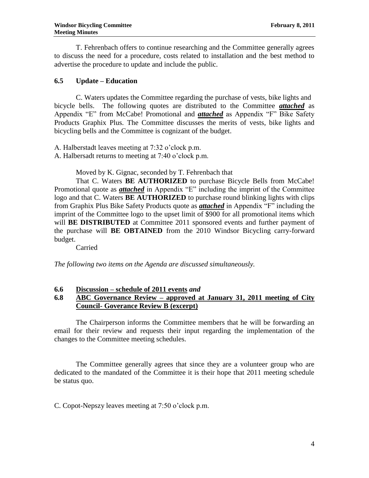T. Fehrenbach offers to continue researching and the Committee generally agrees to discuss the need for a procedure, costs related to installation and the best method to advertise the procedure to update and include the public.

## **6.5 Update – Education**

C. Waters updates the Committee regarding the purchase of vests, bike lights and bicycle bells. The following quotes are distributed to the Committee *attached* as Appendix "E" from McCabe! Promotional and *attached* as Appendix "F" Bike Safety Products Graphix Plus. The Committee discusses the merits of vests, bike lights and bicycling bells and the Committee is cognizant of the budget.

A. Halberstadt leaves meeting at 7:32 o'clock p.m.

A. Halbersadt returns to meeting at 7:40 o'clock p.m.

Moved by K. Gignac, seconded by T. Fehrenbach that

That C. Waters **BE AUTHORIZED** to purchase Bicycle Bells from McCabe! Promotional quote as *attached* in Appendix "E" including the imprint of the Committee logo and that C. Waters **BE AUTHORIZED** to purchase round blinking lights with clips from Graphix Plus Bike Safety Products quote as *attached* in Appendix "F" including the imprint of the Committee logo to the upset limit of \$900 for all promotional items which will **BE DISTRIBUTED** at Committee 2011 sponsored events and further payment of the purchase will **BE OBTAINED** from the 2010 Windsor Bicycling carry-forward budget.

Carried

*The following two items on the Agenda are discussed simultaneously.*

### **6.6 Discussion – schedule of 2011 events** *and*

## **6.8 ABC Governance Review – approved at January 31, 2011 meeting of City Council- Goverance Review B (excerpt)**

The Chairperson informs the Committee members that he will be forwarding an email for their review and requests their input regarding the implementation of the changes to the Committee meeting schedules.

The Committee generally agrees that since they are a volunteer group who are dedicated to the mandated of the Committee it is their hope that 2011 meeting schedule be status quo.

C. Copot-Nepszy leaves meeting at 7:50 o'clock p.m.